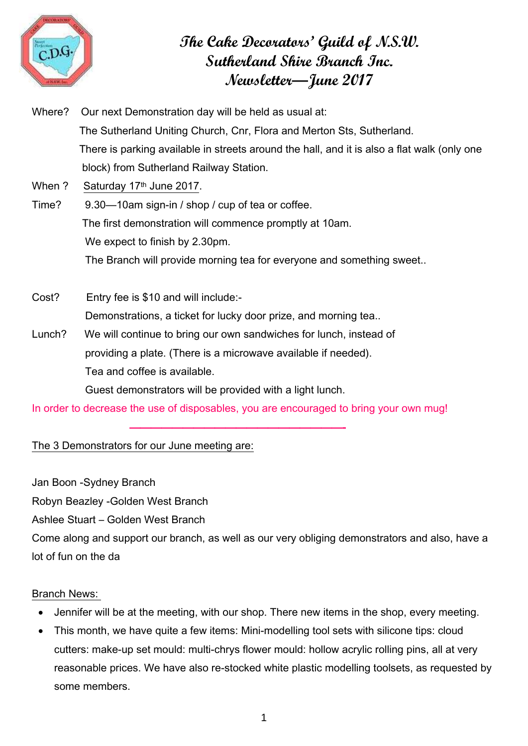

# **The Cake Decorators' Guild of N.S.W. Sutherland Shire Branch Inc. Newsletter—June 2017**

Where? Our next Demonstration day will be held as usual at: The Sutherland Uniting Church, Cnr, Flora and Merton Sts, Sutherland. There is parking available in streets around the hall, and it is also a flat walk (only one block) from Sutherland Railway Station. When ? Saturday 17th June 2017. Time? 9.30—10am sign-in / shop / cup of tea or coffee. The first demonstration will commence promptly at 10am.

 We expect to finish by 2.30pm. The Branch will provide morning tea for everyone and something sweet..

Cost? Entry fee is \$10 and will include:- Demonstrations, a ticket for lucky door prize, and morning tea..

Lunch? We will continue to bring our own sandwiches for lunch, instead of providing a plate. (There is a microwave available if needed). Tea and coffee is available.

Guest demonstrators will be provided with a light lunch.

————————————————————-

In order to decrease the use of disposables, you are encouraged to bring your own mug!

The 3 Demonstrators for our June meeting are:

Jan Boon -Sydney Branch

Robyn Beazley -Golden West Branch

Ashlee Stuart – Golden West Branch

Come along and support our branch, as well as our very obliging demonstrators and also, have a lot of fun on the da

# Branch News:

- Jennifer will be at the meeting, with our shop. There new items in the shop, every meeting.
- This month, we have quite a few items: Mini-modelling tool sets with silicone tips: cloud cutters: make-up set mould: multi-chrys flower mould: hollow acrylic rolling pins, all at very reasonable prices. We have also re-stocked white plastic modelling toolsets, as requested by some members.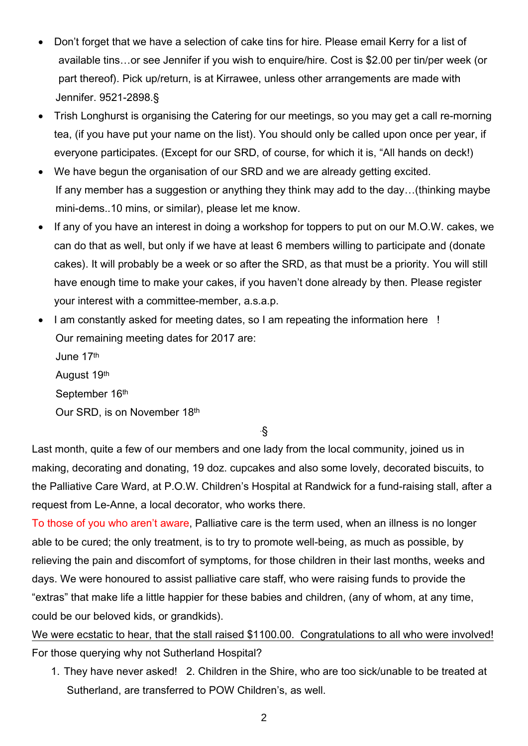- Don't forget that we have a selection of cake tins for hire. Please email Kerry for a list of available tins…or see Jennifer if you wish to enquire/hire. Cost is \$2.00 per tin/per week (or part thereof). Pick up/return, is at Kirrawee, unless other arrangements are made with Jennifer. 9521-2898.§
- Trish Longhurst is organising the Catering for our meetings, so you may get a call re-morning tea, (if you have put your name on the list). You should only be called upon once per year, if everyone participates. (Except for our SRD, of course, for which it is, "All hands on deck!)
- We have begun the organisation of our SRD and we are already getting excited. If any member has a suggestion or anything they think may add to the day…(thinking maybe mini-dems..10 mins, or similar), please let me know.
- If any of you have an interest in doing a workshop for toppers to put on our M.O.W. cakes, we can do that as well, but only if we have at least 6 members willing to participate and (donate cakes). It will probably be a week or so after the SRD, as that must be a priority. You will still have enough time to make your cakes, if you haven't done already by then. Please register your interest with a committee-member, a.s.a.p.
- I am constantly asked for meeting dates, so I am repeating the information here ! Our remaining meeting dates for 2017 are:

 June 17th August 19th

September 16th

Our SRD, is on November 18th

.§

Last month, quite a few of our members and one lady from the local community, joined us in making, decorating and donating, 19 doz. cupcakes and also some lovely, decorated biscuits, to the Palliative Care Ward, at P.O.W. Children's Hospital at Randwick for a fund-raising stall, after a request from Le-Anne, a local decorator, who works there.

To those of you who aren't aware, Palliative care is the term used, when an illness is no longer able to be cured; the only treatment, is to try to promote well-being, as much as possible, by relieving the pain and discomfort of symptoms, for those children in their last months, weeks and days. We were honoured to assist palliative care staff, who were raising funds to provide the "extras" that make life a little happier for these babies and children, (any of whom, at any time, could be our beloved kids, or grandkids).

We were ecstatic to hear, that the stall raised \$1100.00. Congratulations to all who were involved! For those querying why not Sutherland Hospital?

1. They have never asked! 2. Children in the Shire, who are too sick/unable to be treated at Sutherland, are transferred to POW Children's, as well.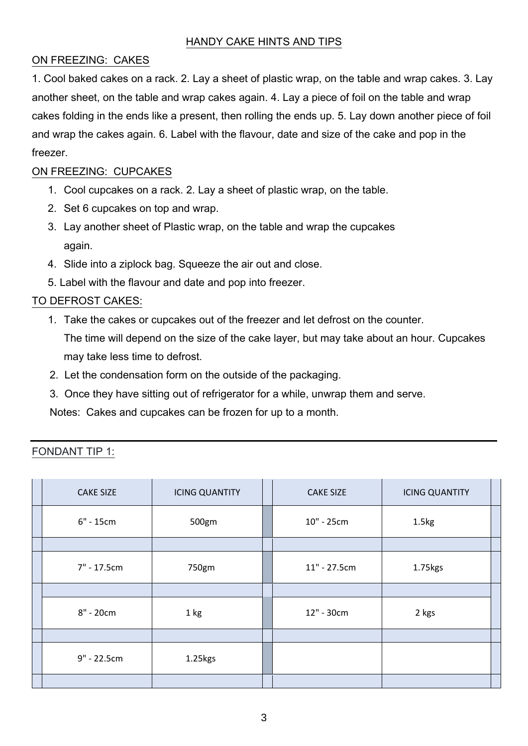## ON FREEZING: CAKES

1. Cool baked cakes on a rack. 2. Lay a sheet of plastic wrap, on the table and wrap cakes. 3. Lay another sheet, on the table and wrap cakes again. 4. Lay a piece of foil on the table and wrap cakes folding in the ends like a present, then rolling the ends up. 5. Lay down another piece of foil and wrap the cakes again. 6. Label with the flavour, date and size of the cake and pop in the freezer.

## ON FREEZING: CUPCAKES

- 1. Cool cupcakes on a rack. 2. Lay a sheet of plastic wrap, on the table.
- 2. Set 6 cupcakes on top and wrap.
- 3. Lay another sheet of Plastic wrap, on the table and wrap the cupcakes again.
- 4. Slide into a ziplock bag. Squeeze the air out and close.
- 5. Label with the flavour and date and pop into freezer.

# TO DEFROST CAKES:

1. Take the cakes or cupcakes out of the freezer and let defrost on the counter.

The time will depend on the size of the cake layer, but may take about an hour. Cupcakes may take less time to defrost.

- 2. Let the condensation form on the outside of the packaging.
- 3. Once they have sitting out of refrigerator for a while, unwrap them and serve.

Notes: Cakes and cupcakes can be frozen for up to a month.

| <b>CAKE SIZE</b> | <b>ICING QUANTITY</b> | <b>CAKE SIZE</b> | <b>ICING QUANTITY</b> |  |
|------------------|-----------------------|------------------|-----------------------|--|
| $6" - 15cm$      | 500gm                 | 10" - 25cm       | 1.5kg                 |  |
|                  |                       |                  |                       |  |
| 7" - 17.5cm      | 750gm                 | $11" - 27.5cm$   | 1.75kgs               |  |
|                  |                       |                  |                       |  |
| 8" - 20cm        | 1 kg                  | 12" - 30cm       | 2 kgs                 |  |
|                  |                       |                  |                       |  |
| 9" - 22.5cm      | 1.25kgs               |                  |                       |  |
|                  |                       |                  |                       |  |